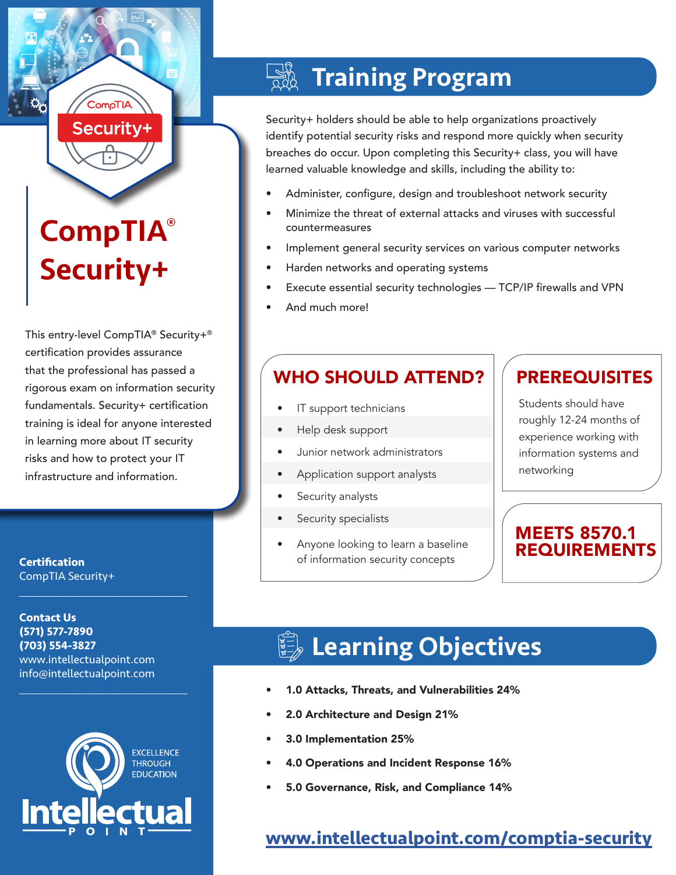# CompTIA® Security+

Securitv+

This entry-level CompTIA® Security+® certification provides assurance that the professional has passed a rigorous exam on information security fundamentals. Security+ certification training is ideal for anyone interested in learning more about IT security risks and how to protect your IT infrastructure and information.

**Certification** CompTIA Security+

**Contact Us (571) 577-7890 (703) 554-3827** www.intellectualpoint.com info@intellectualpoint.com

 $\mathcal{L}_\text{max}$  , and the set of the set of the set of the set of the set of the set of the set of the set of the set of the set of the set of the set of the set of the set of the set of the set of the set of the set of the

 $\mathcal{L}_\text{max}$  and  $\mathcal{L}_\text{max}$  and  $\mathcal{L}_\text{max}$  and  $\mathcal{L}_\text{max}$ 



## Training Program

Security+ holders should be able to help organizations proactively identify potential security risks and respond more quickly when security breaches do occur. Upon completing this Security+ class, you will have learned valuable knowledge and skills, including the ability to:

- Administer, configure, design and troubleshoot network security
- Minimize the threat of external attacks and viruses with successful countermeasures
- Implement general security services on various computer networks
- Harden networks and operating systems
- Execute essential security technologies TCP/IP firewalls and VPN
- And much more!

## WHO SHOULD ATTEND?

- IT support technicians
- Help desk support
- Junior network administrators
- Application support analysts
- Security analysts
- Security specialists
- Anyone looking to learn a baseline of information security concepts

### **PREREQUISITES**

Students should have roughly 12-24 months of experience working with information systems and networking

### MEETS 8570.1 REQUIREMENTS

## **Learning Objectives**

- 1.0 Attacks, Threats, and Vulnerabilities 24%
- 2.0 Architecture and Design 21%
- 3.0 Implementation 25%
- 4.0 Operations and Incident Response 16%
- 5.0 Governance, Risk, and Compliance 14%

## **[www.intellectualpoint.com/comptia-security](https://www.intellectualpoint.com/product/comptia-security/)**